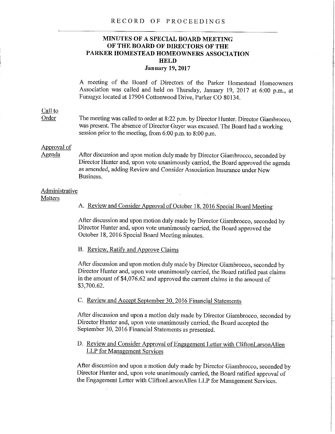#### RECORD OF PROCEEDINGS

## **MINUTES OF A SPECIAL BOARD MEETING OF THE BOARD OF DIRECTORS OF THE PARKER HOMESTEAD HOMEOWNERS ASSOCIATION HELD January 19, 2017**

A meeting of the Board of Directors of the Parker Homestead Homeowners Association was called and held on Thursday, January 19, 2017 at 6:00 p.m., at Funugyz located at 17904 Cottonwood Drive, Parker CO 80134.

## Call to

Order The meeting was called to order at 8:22 p.m. by Director Hunter. Director Giambrocco, was present. The absence of Director Guyer was excused. The Board had a working session prior to the meeting, from 6:00 p.m. to 8:00 p.m.

# Approval of<br>Agenda

After discussion and upon motion duly made by Director Giambrocco, seconded by Director Hunter and, upon vote unanimously carried, the Board approved the agenda as amended, adding Review and Consider Association Insurance under New Business.

### Administrative

**Matters** 

A. Review and Consider Approval of October 18, 2016 Special Board Meeting

After discussion and upon motion duly made by Director Giambrocco, seconded by Director Hunter and, upon vote unanimously carried, the Board approved the October 18, 2016 Special Board Meeting minutes.

## B. Review, Ratify and Approve Claims

After discussion and upon motion duly made by Director Giambrocco, seconded by Director Hunter and, upon vote unanimously carried, the Board ratified past claims in the amount of \$4,076.62 and approved the current claims in the amount of \$3,700.62.

## C. Review and Accept September 30, 2016 Financial Statements

After discussion and upon a motion duly made by Director Giambrocco, seconded by Director Hunter and, upon vote unanimously carried, the Board accepted the September 30, 2016 Financial Statements as presented.

## D. Review and Consider Approval of Engagement Letter with CliftonLarsonAllen LLP for Management Services

After discussion and upon a motion duly made by Director Giambrocco, seconded by Director Hunter and, upon vote unanimously carried, the Board ratified approval of the Engagement Letter with CliftonLarsonAllen LLP for Management Services.